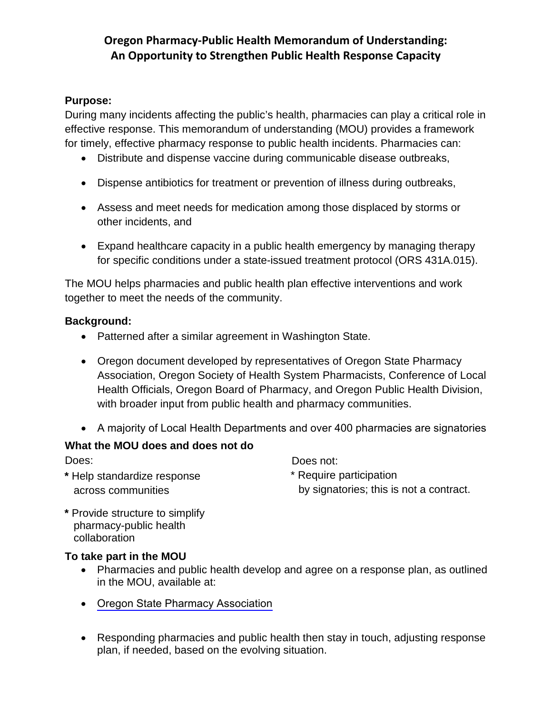# **Oregon Pharmacy-Public Health Memorandum of Understanding: An Opportunity to Strengthen Public Health Response Capacity**

### **Purpose:**

During many incidents affecting the public's health, pharmacies can play a critical role in effective response. This memorandum of understanding (MOU) provides a framework for timely, effective pharmacy response to public health incidents. Pharmacies can:

- Distribute and dispense vaccine during communicable disease outbreaks,
- Dispense antibiotics for treatment or prevention of illness during outbreaks,
- Assess and meet needs for medication among those displaced by storms or other incidents, and
- Expand healthcare capacity in a public health emergency by managing therapy for specific conditions under a state-issued treatment protocol (ORS 431A.015).

The MOU helps pharmacies and public health plan effective interventions and work together to meet the needs of the community.

#### **Background:**

- Patterned after a similar agreement in Washington State.
- Oregon document developed by representatives of Oregon State Pharmacy Association, Oregon Society of Health System Pharmacists, Conference of Local Health Officials, Oregon Board of Pharmacy, and Oregon Public Health Division, with broader input from public health and pharmacy communities.
- A majority of Local Health Departments and over 400 pharmacies are signatories

#### **What the MOU does and does not do**

**\*** Help standardize response \* Require participation

Does: Does not: across communities by signatories; this is not a contract.

**\*** Provide structure to simplify pharmacy-public health collaboration

#### **To take part in the MOU**

- Pharmacies and public health develop and agree on a response plan, as outlined in the MOU, available at:
- [Oregon State Pharmacy Association](https://oregonpharmacy.org/wp-content/uploads/2019/06/oregon-pharmacy-public-health-mou-final_7-2-15.pdf)
- Responding pharmacies and public health then stay in touch, adjusting response plan, if needed, based on the evolving situation.